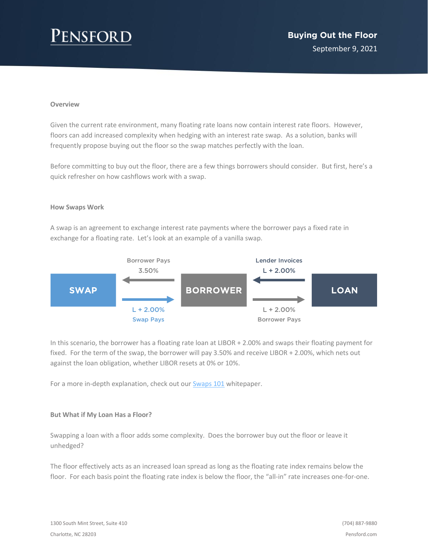# ENSFOR

### **Overview**

Given the current rate environment, many floating rate loans now contain interest rate floors. However, floors can add increased complexity when hedging with an interest rate swap. As a solution, banks will frequently propose buying out the floor so the swap matches perfectly with the loan.

Before committing to buy out the floor, there are a few things borrowers should consider. But first, here's a quick refresher on how cashflows work with a swap.

#### **How Swaps Work**

A swap is an agreement to exchange interest rate payments where the borrower pays a fixed rate in exchange for a floating rate. Let's look at an example of a vanilla swap.



In this scenario, the borrower has a floating rate loan at LIBOR + 2.00% and swaps their floating payment for fixed. For the term of the swap, the borrower will pay 3.50% and receive LIBOR + 2.00%, which nets out against the loan obligation, whether LIBOR resets at 0% or 10%.

For a more in-depth explanation, check out our **Swaps 101** whitepaper.

### **But What if My Loan Has a Floor?**

Swapping a loan with a floor adds some complexity. Does the borrower buy out the floor or leave it unhedged?

The floor effectively acts as an increased loan spread as long as the floating rate index remains below the floor. For each basis point the floating rate index is below the floor, the "all-in" rate increases one-for-one.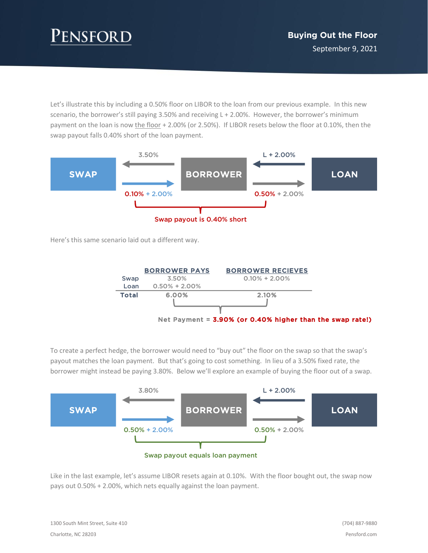# ENSFORD

Let's illustrate this by including a 0.50% floor on LIBOR to the loan from our previous example. In this new scenario, the borrower's still paying 3.50% and receiving L + 2.00%. However, the borrower's minimum payment on the loan is now the floor + 2.00% (or 2.50%). If LIBOR resets below the floor at 0.10%, then the swap payout falls 0.40% short of the loan payment.



Here's this same scenario laid out a different way.



To create a perfect hedge, the borrower would need to "buy out" the floor on the swap so that the swap's payout matches the loan payment. But that's going to cost something. In lieu of a 3.50% fixed rate, the borrower might instead be paying 3.80%. Below we'll explore an example of buying the floor out of a swap.



Swap payout equals loan payment

Like in the last example, let's assume LIBOR resets again at 0.10%. With the floor bought out, the swap now pays out 0.50% + 2.00%, which nets equally against the loan payment.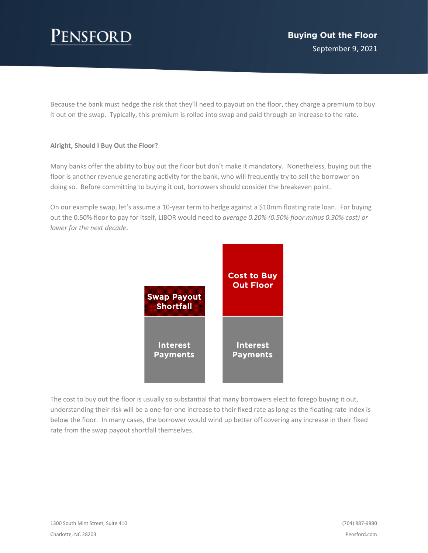# **ENSFORD**

Because the bank must hedge the risk that they'll need to payout on the floor, they charge a premium to buy it out on the swap. Typically, this premium is rolled into swap and paid through an increase to the rate.

### **Alright, Should I Buy Out the Floor?**

Many banks offer the ability to buy out the floor but don't make it mandatory. Nonetheless, buying out the floor is another revenue generating activity for the bank, who will frequently try to sell the borrower on doing so. Before committing to buying it out, borrowers should consider the breakeven point.

On our example swap, let's assume a 10-year term to hedge against a \$10mm floating rate loan. For buying out the 0.50% floor to pay for itself, LIBOR would need to *average 0.20% (0.50% floor minus 0.30% cost) or lower for the next decade*.



The cost to buy out the floor is usually so substantial that many borrowers elect to forego buying it out, understanding their risk will be a one-for-one increase to their fixed rate as long as the floating rate index is below the floor. In many cases, the borrower would wind up better off covering any increase in their fixed rate from the swap payout shortfall themselves.